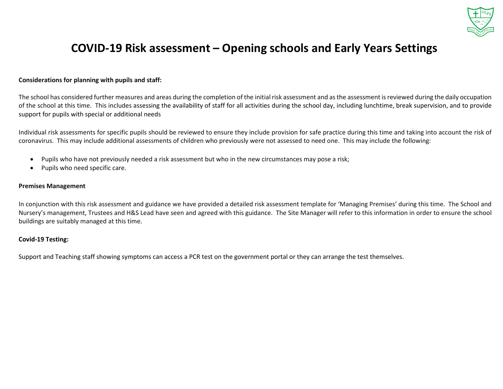

## **COVID-19 Risk assessment – Opening schools and Early Years Settings**

#### **Considerations for planning with pupils and staff:**

The school has considered further measures and areas during the completion of the initial risk assessment and as the assessment is reviewed during the daily occupation of the school at this time. This includes assessing the availability of staff for all activities during the school day, including lunchtime, break supervision, and to provide support for pupils with special or additional needs

Individual risk assessments for specific pupils should be reviewed to ensure they include provision for safe practice during this time and taking into account the risk of coronavirus. This may include additional assessments of children who previously were not assessed to need one. This may include the following:

- Pupils who have not previously needed a risk assessment but who in the new circumstances may pose a risk;
- Pupils who need specific care.

#### **Premises Management**

In conjunction with this risk assessment and guidance we have provided a detailed risk assessment template for 'Managing Premises' during this time. The School and Nursery's management, Trustees and H&S Lead have seen and agreed with this guidance. The Site Manager will refer to this information in order to ensure the school buildings are suitably managed at this time.

#### **Covid-19 Testing:**

Support and Teaching staff showing symptoms can access a PCR test on the government portal or they can arrange the test themselves.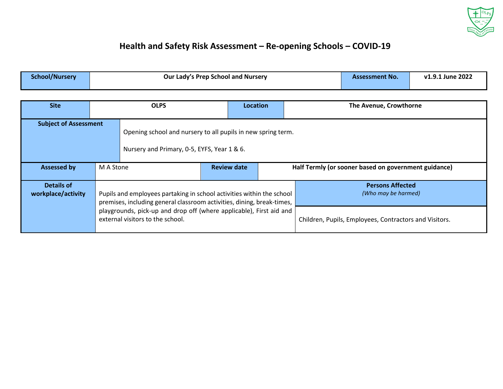

### **Health and Safety Risk Assessment – Re-opening Schools – COVID-19**

| <b>School/Nursery</b> | Our Lady's Prep School and Nursery |                 |  | <b>Assessment No.</b>  | v1.9.1 June 2022 |  |
|-----------------------|------------------------------------|-----------------|--|------------------------|------------------|--|
|                       |                                    |                 |  |                        |                  |  |
| <b>Site</b>           | <b>OLPS</b>                        | <b>Location</b> |  | The Avenue, Crowthorne |                  |  |
|                       |                                    |                 |  |                        |                  |  |

| <b>Subject of Assessment</b>            |                                 | Opening school and nursery to all pupils in new spring term.<br>Nursery and Primary, 0-5, EYFS, Year 1 & 6.                                                                                                                                                |                                                      |  |                                                                                                          |  |  |
|-----------------------------------------|---------------------------------|------------------------------------------------------------------------------------------------------------------------------------------------------------------------------------------------------------------------------------------------------------|------------------------------------------------------|--|----------------------------------------------------------------------------------------------------------|--|--|
| <b>Assessed by</b>                      | <b>Review date</b><br>M A Stone |                                                                                                                                                                                                                                                            | Half Termly (or sooner based on government guidance) |  |                                                                                                          |  |  |
| <b>Details of</b><br>workplace/activity |                                 | Pupils and employees partaking in school activities within the school<br>premises, including general classroom activities, dining, break-times,<br>playgrounds, pick-up and drop off (where applicable), First aid and<br>external visitors to the school. |                                                      |  | <b>Persons Affected</b><br>(Who may be harmed)<br>Children, Pupils, Employees, Contractors and Visitors. |  |  |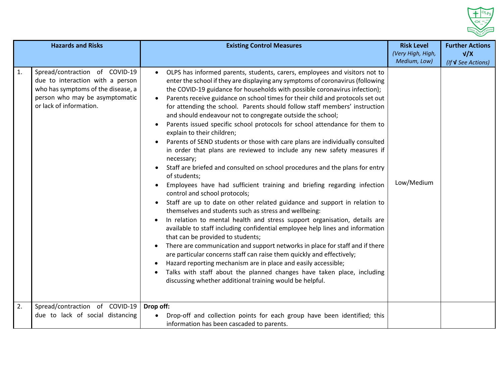

| <b>Hazards and Risks</b> |                                                                                                                                                                       | <b>Existing Control Measures</b>                                                                                                                                                                                                                                                                                                                                                                                                                                                                                                                                                                                                                                                                                                                                                                                                                                                                                                                                                                                                                                                                                                                                                                                                                                                                                                                                                                                                                                                                                                                                                                                                                                                                             | <b>Risk Level</b><br>(Very High, High, | <b>Further Actions</b><br>V/X |
|--------------------------|-----------------------------------------------------------------------------------------------------------------------------------------------------------------------|--------------------------------------------------------------------------------------------------------------------------------------------------------------------------------------------------------------------------------------------------------------------------------------------------------------------------------------------------------------------------------------------------------------------------------------------------------------------------------------------------------------------------------------------------------------------------------------------------------------------------------------------------------------------------------------------------------------------------------------------------------------------------------------------------------------------------------------------------------------------------------------------------------------------------------------------------------------------------------------------------------------------------------------------------------------------------------------------------------------------------------------------------------------------------------------------------------------------------------------------------------------------------------------------------------------------------------------------------------------------------------------------------------------------------------------------------------------------------------------------------------------------------------------------------------------------------------------------------------------------------------------------------------------------------------------------------------------|----------------------------------------|-------------------------------|
|                          |                                                                                                                                                                       |                                                                                                                                                                                                                                                                                                                                                                                                                                                                                                                                                                                                                                                                                                                                                                                                                                                                                                                                                                                                                                                                                                                                                                                                                                                                                                                                                                                                                                                                                                                                                                                                                                                                                                              | Medium, Low)                           | (If <b>V</b> See Actions)     |
| 1.                       | Spread/contraction of COVID-19<br>due to interaction with a person<br>who has symptoms of the disease, a<br>person who may be asymptomatic<br>or lack of information. | OLPS has informed parents, students, carers, employees and visitors not to<br>$\bullet$<br>enter the school if they are displaying any symptoms of coronavirus (following<br>the COVID-19 guidance for households with possible coronavirus infection);<br>Parents receive guidance on school times for their child and protocols set out<br>for attending the school. Parents should follow staff members' instruction<br>and should endeavour not to congregate outside the school;<br>Parents issued specific school protocols for school attendance for them to<br>$\bullet$<br>explain to their children;<br>Parents of SEND students or those with care plans are individually consulted<br>in order that plans are reviewed to include any new safety measures if<br>necessary;<br>Staff are briefed and consulted on school procedures and the plans for entry<br>of students;<br>Employees have had sufficient training and briefing regarding infection<br>control and school protocols;<br>Staff are up to date on other related guidance and support in relation to<br>themselves and students such as stress and wellbeing:<br>In relation to mental health and stress support organisation, details are<br>available to staff including confidential employee help lines and information<br>that can be provided to students;<br>There are communication and support networks in place for staff and if there<br>are particular concerns staff can raise them quickly and effectively;<br>Hazard reporting mechanism are in place and easily accessible;<br>Talks with staff about the planned changes have taken place, including<br>discussing whether additional training would be helpful. | Low/Medium                             |                               |
| 2.                       | Spread/contraction of COVID-19<br>due to lack of social distancing                                                                                                    | Drop off:<br>Drop-off and collection points for each group have been identified; this<br>$\bullet$<br>information has been cascaded to parents.                                                                                                                                                                                                                                                                                                                                                                                                                                                                                                                                                                                                                                                                                                                                                                                                                                                                                                                                                                                                                                                                                                                                                                                                                                                                                                                                                                                                                                                                                                                                                              |                                        |                               |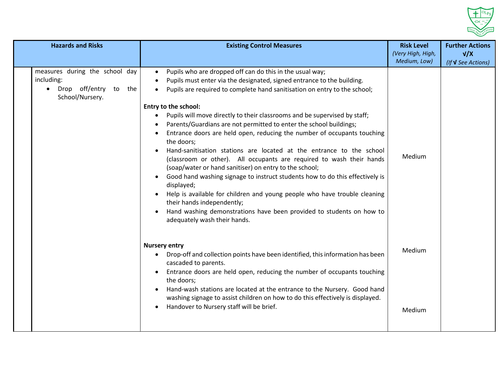

| <b>Hazards and Risks</b>                                                                              | <b>Existing Control Measures</b>                                                                                                                                                                                                                                                                                                                                                                                                                                                                                                                                                                                                                                                                                                                                                                                                                                                                                                                                                                                            | <b>Risk Level</b><br>(Very High, High, | <b>Further Actions</b><br>V/X |
|-------------------------------------------------------------------------------------------------------|-----------------------------------------------------------------------------------------------------------------------------------------------------------------------------------------------------------------------------------------------------------------------------------------------------------------------------------------------------------------------------------------------------------------------------------------------------------------------------------------------------------------------------------------------------------------------------------------------------------------------------------------------------------------------------------------------------------------------------------------------------------------------------------------------------------------------------------------------------------------------------------------------------------------------------------------------------------------------------------------------------------------------------|----------------------------------------|-------------------------------|
|                                                                                                       |                                                                                                                                                                                                                                                                                                                                                                                                                                                                                                                                                                                                                                                                                                                                                                                                                                                                                                                                                                                                                             | Medium, Low)                           | (If <b>V</b> See Actions)     |
| measures during the school day<br>including:<br>Drop off/entry to the<br>$\bullet$<br>School/Nursery. | Pupils who are dropped off can do this in the usual way;<br>$\bullet$<br>Pupils must enter via the designated, signed entrance to the building.<br>Pupils are required to complete hand sanitisation on entry to the school;<br>Entry to the school:<br>Pupils will move directly to their classrooms and be supervised by staff;<br>Parents/Guardians are not permitted to enter the school buildings;<br>Entrance doors are held open, reducing the number of occupants touching<br>the doors;<br>Hand-sanitisation stations are located at the entrance to the school<br>(classroom or other). All occupants are required to wash their hands<br>(soap/water or hand sanitiser) on entry to the school;<br>Good hand washing signage to instruct students how to do this effectively is<br>displayed;<br>Help is available for children and young people who have trouble cleaning<br>their hands independently;<br>Hand washing demonstrations have been provided to students on how to<br>adequately wash their hands. | Medium                                 |                               |
|                                                                                                       | <b>Nursery entry</b><br>Drop-off and collection points have been identified, this information has been<br>cascaded to parents.<br>Entrance doors are held open, reducing the number of occupants touching<br>the doors;<br>Hand-wash stations are located at the entrance to the Nursery. Good hand<br>washing signage to assist children on how to do this effectively is displayed.<br>Handover to Nursery staff will be brief.                                                                                                                                                                                                                                                                                                                                                                                                                                                                                                                                                                                           | Medium                                 |                               |
|                                                                                                       |                                                                                                                                                                                                                                                                                                                                                                                                                                                                                                                                                                                                                                                                                                                                                                                                                                                                                                                                                                                                                             | Medium                                 |                               |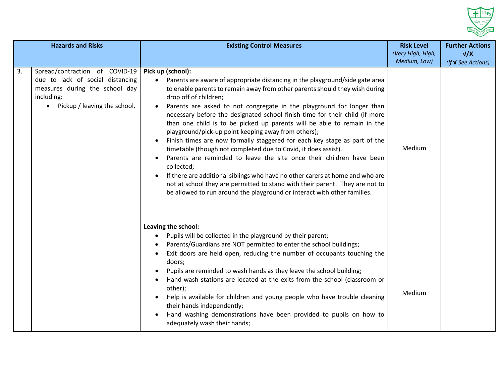

| <b>Hazards and Risks</b> |                                                                                                                                                    | <b>Existing Control Measures</b>                                                                                                                                                                                                                                                                                                                                                                                                                                                                                                                                                                                                                                                                                                                                                                                                                                                                                                                                                      | <b>Risk Level</b><br>(Very High, High,<br>Medium, Low) | <b>Further Actions</b><br>V/X |
|--------------------------|----------------------------------------------------------------------------------------------------------------------------------------------------|---------------------------------------------------------------------------------------------------------------------------------------------------------------------------------------------------------------------------------------------------------------------------------------------------------------------------------------------------------------------------------------------------------------------------------------------------------------------------------------------------------------------------------------------------------------------------------------------------------------------------------------------------------------------------------------------------------------------------------------------------------------------------------------------------------------------------------------------------------------------------------------------------------------------------------------------------------------------------------------|--------------------------------------------------------|-------------------------------|
| 3.                       | Spread/contraction of COVID-19<br>due to lack of social distancing<br>measures during the school day<br>including:<br>Pickup / leaving the school. | Pick up (school):<br>Parents are aware of appropriate distancing in the playground/side gate area<br>to enable parents to remain away from other parents should they wish during<br>drop off of children;<br>Parents are asked to not congregate in the playground for longer than<br>necessary before the designated school finish time for their child (if more<br>than one child is to be picked up parents will be able to remain in the<br>playground/pick-up point keeping away from others);<br>Finish times are now formally staggered for each key stage as part of the<br>timetable (though not completed due to Covid, it does assist).<br>Parents are reminded to leave the site once their children have been<br>collected;<br>If there are additional siblings who have no other carers at home and who are<br>not at school they are permitted to stand with their parent. They are not to<br>be allowed to run around the playground or interact with other families. | Medium                                                 | (If <b>V</b> See Actions)     |
|                          |                                                                                                                                                    | Leaving the school:<br>Pupils will be collected in the playground by their parent;<br>Parents/Guardians are NOT permitted to enter the school buildings;<br>Exit doors are held open, reducing the number of occupants touching the<br>doors;<br>Pupils are reminded to wash hands as they leave the school building;<br>Hand-wash stations are located at the exits from the school (classroom or<br>other);<br>Help is available for children and young people who have trouble cleaning<br>their hands independently;<br>Hand washing demonstrations have been provided to pupils on how to<br>adequately wash their hands;                                                                                                                                                                                                                                                                                                                                                        | Medium                                                 |                               |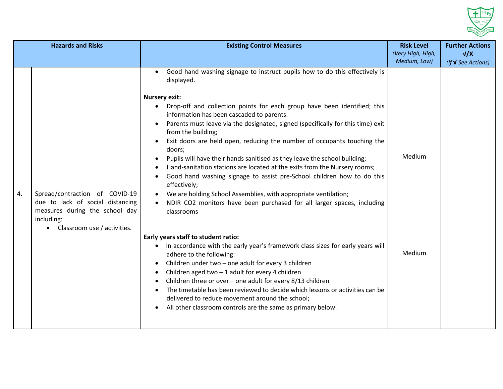

|    | <b>Hazards and Risks</b>                                                                                                                          | <b>Existing Control Measures</b>                                                                                                                                                                                                                                                                                                                                                                                                                                                                                                                                                                                                                                                                                                                                                                                                                                                                                                                                                                                                                                                                                                                                                                                                                                                                                                                                                                       | <b>Risk Level</b><br>(Very High, High, | <b>Further Actions</b><br>V/X |
|----|---------------------------------------------------------------------------------------------------------------------------------------------------|--------------------------------------------------------------------------------------------------------------------------------------------------------------------------------------------------------------------------------------------------------------------------------------------------------------------------------------------------------------------------------------------------------------------------------------------------------------------------------------------------------------------------------------------------------------------------------------------------------------------------------------------------------------------------------------------------------------------------------------------------------------------------------------------------------------------------------------------------------------------------------------------------------------------------------------------------------------------------------------------------------------------------------------------------------------------------------------------------------------------------------------------------------------------------------------------------------------------------------------------------------------------------------------------------------------------------------------------------------------------------------------------------------|----------------------------------------|-------------------------------|
| 4. | Spread/contraction of COVID-19<br>due to lack of social distancing<br>measures during the school day<br>including:<br>Classroom use / activities. | Good hand washing signage to instruct pupils how to do this effectively is<br>$\bullet$<br>displayed.<br><b>Nursery exit:</b><br>Drop-off and collection points for each group have been identified; this<br>information has been cascaded to parents.<br>Parents must leave via the designated, signed (specifically for this time) exit<br>from the building;<br>Exit doors are held open, reducing the number of occupants touching the<br>doors;<br>Pupils will have their hands sanitised as they leave the school building;<br>Hand-sanitation stations are located at the exits from the Nursery rooms;<br>Good hand washing signage to assist pre-School children how to do this<br>effectively;<br>We are holding School Assemblies, with appropriate ventilation;<br>NDIR CO2 monitors have been purchased for all larger spaces, including<br>classrooms<br>Early years staff to student ratio:<br>In accordance with the early year's framework class sizes for early years will<br>adhere to the following:<br>Children under two - one adult for every 3 children<br>Children aged two $-1$ adult for every 4 children<br>Children three or over – one adult for every $8/13$ children<br>The timetable has been reviewed to decide which lessons or activities can be<br>delivered to reduce movement around the school;<br>All other classroom controls are the same as primary below. | Medium, Low)<br>Medium<br>Medium       | (If <b>V</b> See Actions)     |
|    |                                                                                                                                                   |                                                                                                                                                                                                                                                                                                                                                                                                                                                                                                                                                                                                                                                                                                                                                                                                                                                                                                                                                                                                                                                                                                                                                                                                                                                                                                                                                                                                        |                                        |                               |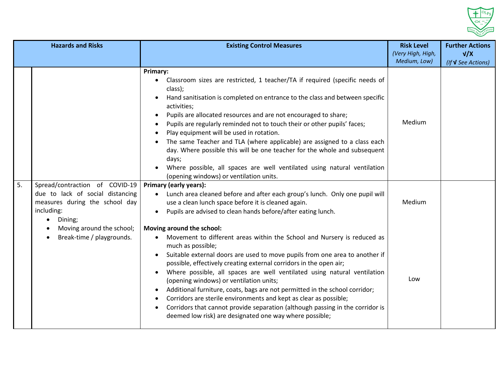

|    | <b>Hazards and Risks</b>                                                                                           | <b>Existing Control Measures</b>                                                                                                                                                                                                                                                                                                                                                                                                                                                                                                                                                                                                                                                                                                                                                                                                                                                                                                          | <b>Risk Level</b><br>(Very High, High,<br>Medium, Low) | <b>Further Actions</b><br>V/X |
|----|--------------------------------------------------------------------------------------------------------------------|-------------------------------------------------------------------------------------------------------------------------------------------------------------------------------------------------------------------------------------------------------------------------------------------------------------------------------------------------------------------------------------------------------------------------------------------------------------------------------------------------------------------------------------------------------------------------------------------------------------------------------------------------------------------------------------------------------------------------------------------------------------------------------------------------------------------------------------------------------------------------------------------------------------------------------------------|--------------------------------------------------------|-------------------------------|
| 5. | Spread/contraction of COVID-19<br>due to lack of social distancing<br>measures during the school day<br>including: | Primary:<br>Classroom sizes are restricted, 1 teacher/TA if required (specific needs of<br>class);<br>Hand sanitisation is completed on entrance to the class and between specific<br>activities;<br>Pupils are allocated resources and are not encouraged to share;<br>Pupils are regularly reminded not to touch their or other pupils' faces;<br>Play equipment will be used in rotation.<br>The same Teacher and TLA (where applicable) are assigned to a class each<br>day. Where possible this will be one teacher for the whole and subsequent<br>days;<br>Where possible, all spaces are well ventilated using natural ventilation<br>(opening windows) or ventilation units.<br><b>Primary (early years):</b><br>Lunch area cleaned before and after each group's lunch. Only one pupil will<br>$\bullet$<br>use a clean lunch space before it is cleaned again.<br>Pupils are advised to clean hands before/after eating lunch. | Medium<br>Medium                                       | (If <b>V</b> See Actions)     |
|    | Dining;<br>Moving around the school;<br>Break-time / playgrounds.                                                  | Moving around the school:<br>Movement to different areas within the School and Nursery is reduced as<br>much as possible;<br>Suitable external doors are used to move pupils from one area to another if<br>possible, effectively creating external corridors in the open air;<br>Where possible, all spaces are well ventilated using natural ventilation<br>$\bullet$<br>(opening windows) or ventilation units;<br>Additional furniture, coats, bags are not permitted in the school corridor;<br>Corridors are sterile environments and kept as clear as possible;<br>Corridors that cannot provide separation (although passing in the corridor is<br>deemed low risk) are designated one way where possible;                                                                                                                                                                                                                        | Low                                                    |                               |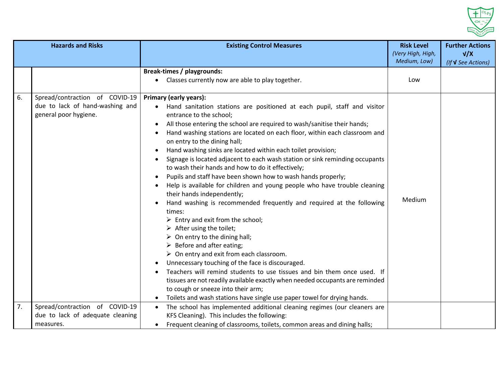

|    | <b>Hazards and Risks</b>                                                                   | <b>Existing Control Measures</b>                                                                                                                                                                                                                                                                                                                                                                                                                                                                                                                                                                                                                                                                                                                                                                                                                                                                                                                                                                                                                                                                                                                                                                                                                                                                                                                                                            | <b>Risk Level</b><br>(Very High, High,<br>Medium, Low) | <b>Further Actions</b><br>V/X<br>(If <b>V</b> See Actions) |
|----|--------------------------------------------------------------------------------------------|---------------------------------------------------------------------------------------------------------------------------------------------------------------------------------------------------------------------------------------------------------------------------------------------------------------------------------------------------------------------------------------------------------------------------------------------------------------------------------------------------------------------------------------------------------------------------------------------------------------------------------------------------------------------------------------------------------------------------------------------------------------------------------------------------------------------------------------------------------------------------------------------------------------------------------------------------------------------------------------------------------------------------------------------------------------------------------------------------------------------------------------------------------------------------------------------------------------------------------------------------------------------------------------------------------------------------------------------------------------------------------------------|--------------------------------------------------------|------------------------------------------------------------|
|    |                                                                                            | <b>Break-times / playgrounds:</b><br>Classes currently now are able to play together.                                                                                                                                                                                                                                                                                                                                                                                                                                                                                                                                                                                                                                                                                                                                                                                                                                                                                                                                                                                                                                                                                                                                                                                                                                                                                                       | Low                                                    |                                                            |
| 6. | Spread/contraction of COVID-19<br>due to lack of hand-washing and<br>general poor hygiene. | <b>Primary (early years):</b><br>• Hand sanitation stations are positioned at each pupil, staff and visitor<br>entrance to the school;<br>All those entering the school are required to wash/sanitise their hands;<br>Hand washing stations are located on each floor, within each classroom and<br>on entry to the dining hall;<br>Hand washing sinks are located within each toilet provision;<br>Signage is located adjacent to each wash station or sink reminding occupants<br>to wash their hands and how to do it effectively;<br>Pupils and staff have been shown how to wash hands properly;<br>Help is available for children and young people who have trouble cleaning<br>their hands independently;<br>Hand washing is recommended frequently and required at the following<br>times:<br>$\triangleright$ Entry and exit from the school;<br>$\triangleright$ After using the toilet;<br>$\triangleright$ On entry to the dining hall;<br>$\triangleright$ Before and after eating;<br>$\triangleright$ On entry and exit from each classroom.<br>Unnecessary touching of the face is discouraged.<br>Teachers will remind students to use tissues and bin them once used. If<br>tissues are not readily available exactly when needed occupants are reminded<br>to cough or sneeze into their arm;<br>Toilets and wash stations have single use paper towel for drying hands. | Medium                                                 |                                                            |
| 7. | Spread/contraction of COVID-19<br>due to lack of adequate cleaning<br>measures.            | The school has implemented additional cleaning regimes (our cleaners are<br>$\bullet$<br>KFS Cleaning). This includes the following:<br>Frequent cleaning of classrooms, toilets, common areas and dining halls;<br>$\bullet$                                                                                                                                                                                                                                                                                                                                                                                                                                                                                                                                                                                                                                                                                                                                                                                                                                                                                                                                                                                                                                                                                                                                                               |                                                        |                                                            |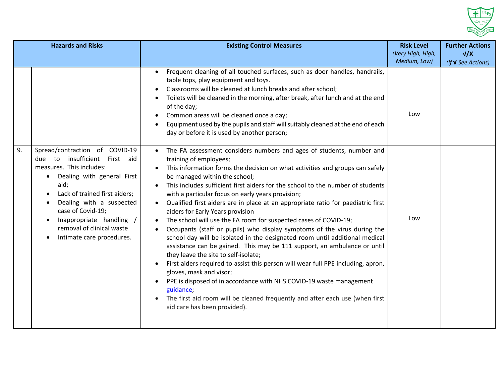

| <b>Hazards and Risks</b> |                                                                                                                                                                                                                                                                                                                              | <b>Existing Control Measures</b>                                                                                                                                                                                                                                                                                                                                                                                                                                                                                                                                                                                                                                                                                                                                                                                                                                                                                                                                                                                                                                                                                                                                               | <b>Risk Level</b><br>(Very High, High, | <b>Further Actions</b><br>V/X |
|--------------------------|------------------------------------------------------------------------------------------------------------------------------------------------------------------------------------------------------------------------------------------------------------------------------------------------------------------------------|--------------------------------------------------------------------------------------------------------------------------------------------------------------------------------------------------------------------------------------------------------------------------------------------------------------------------------------------------------------------------------------------------------------------------------------------------------------------------------------------------------------------------------------------------------------------------------------------------------------------------------------------------------------------------------------------------------------------------------------------------------------------------------------------------------------------------------------------------------------------------------------------------------------------------------------------------------------------------------------------------------------------------------------------------------------------------------------------------------------------------------------------------------------------------------|----------------------------------------|-------------------------------|
|                          |                                                                                                                                                                                                                                                                                                                              | Frequent cleaning of all touched surfaces, such as door handles, handrails,<br>table tops, play equipment and toys.<br>Classrooms will be cleaned at lunch breaks and after school;<br>Toilets will be cleaned in the morning, after break, after lunch and at the end<br>of the day;<br>Common areas will be cleaned once a day;<br>Equipment used by the pupils and staff will suitably cleaned at the end of each<br>$\bullet$<br>day or before it is used by another person;                                                                                                                                                                                                                                                                                                                                                                                                                                                                                                                                                                                                                                                                                               | Medium, Low)<br>Low                    | (If <b>V</b> See Actions)     |
| 9.                       | Spread/contraction of COVID-19<br>insufficient<br>due to<br>First aid<br>measures. This includes:<br>Dealing with general First<br>$\bullet$<br>aid;<br>Lack of trained first aiders;<br>Dealing with a suspected<br>case of Covid-19;<br>Inappropriate handling /<br>removal of clinical waste<br>Intimate care procedures. | The FA assessment considers numbers and ages of students, number and<br>$\bullet$<br>training of employees;<br>This information forms the decision on what activities and groups can safely<br>be managed within the school;<br>This includes sufficient first aiders for the school to the number of students<br>$\bullet$<br>with a particular focus on early years provision;<br>Qualified first aiders are in place at an appropriate ratio for paediatric first<br>aiders for Early Years provision<br>The school will use the FA room for suspected cases of COVID-19;<br>Occupants (staff or pupils) who display symptoms of the virus during the<br>school day will be isolated in the designated room until additional medical<br>assistance can be gained. This may be 111 support, an ambulance or until<br>they leave the site to self-isolate;<br>First aiders required to assist this person will wear full PPE including, apron,<br>gloves, mask and visor;<br>PPE is disposed of in accordance with NHS COVID-19 waste management<br>guidance;<br>The first aid room will be cleaned frequently and after each use (when first<br>aid care has been provided). | Low                                    |                               |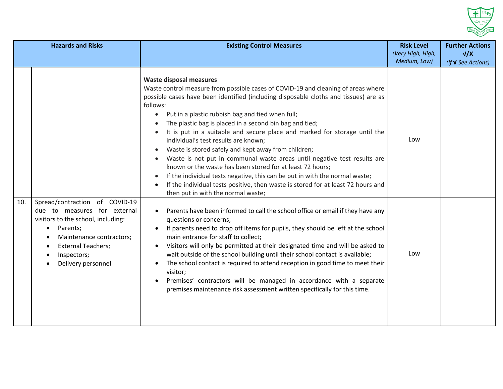

| <b>Hazards and Risks</b> |                                                                                                                                                                                                                             | <b>Existing Control Measures</b>                                                                                                                                                                                                                                                                                                                                                                                                                                                                                                                                                                                                                                                                                                                                                                                                                                                               | <b>Risk Level</b><br>(Very High, High, | <b>Further Actions</b><br>V/X |
|--------------------------|-----------------------------------------------------------------------------------------------------------------------------------------------------------------------------------------------------------------------------|------------------------------------------------------------------------------------------------------------------------------------------------------------------------------------------------------------------------------------------------------------------------------------------------------------------------------------------------------------------------------------------------------------------------------------------------------------------------------------------------------------------------------------------------------------------------------------------------------------------------------------------------------------------------------------------------------------------------------------------------------------------------------------------------------------------------------------------------------------------------------------------------|----------------------------------------|-------------------------------|
|                          |                                                                                                                                                                                                                             | <b>Waste disposal measures</b><br>Waste control measure from possible cases of COVID-19 and cleaning of areas where<br>possible cases have been identified (including disposable cloths and tissues) are as<br>follows:<br>Put in a plastic rubbish bag and tied when full;<br>$\bullet$<br>The plastic bag is placed in a second bin bag and tied;<br>It is put in a suitable and secure place and marked for storage until the<br>individual's test results are known;<br>Waste is stored safely and kept away from children;<br>Waste is not put in communal waste areas until negative test results are<br>known or the waste has been stored for at least 72 hours;<br>If the individual tests negative, this can be put in with the normal waste;<br>If the individual tests positive, then waste is stored for at least 72 hours and<br>$\bullet$<br>then put in with the normal waste; | Medium, Low)<br>Low                    | (If <b>V</b> See Actions)     |
| 10.                      | Spread/contraction of COVID-19<br>due to measures for external<br>visitors to the school, including:<br>Parents;<br>$\bullet$<br>Maintenance contractors;<br><b>External Teachers;</b><br>Inspectors;<br>Delivery personnel | Parents have been informed to call the school office or email if they have any<br>questions or concerns;<br>If parents need to drop off items for pupils, they should be left at the school<br>main entrance for staff to collect;<br>Visitors will only be permitted at their designated time and will be asked to<br>$\bullet$<br>wait outside of the school building until their school contact is available;<br>The school contact is required to attend reception in good time to meet their<br>visitor;<br>Premises' contractors will be managed in accordance with a separate<br>premises maintenance risk assessment written specifically for this time.                                                                                                                                                                                                                               | Low                                    |                               |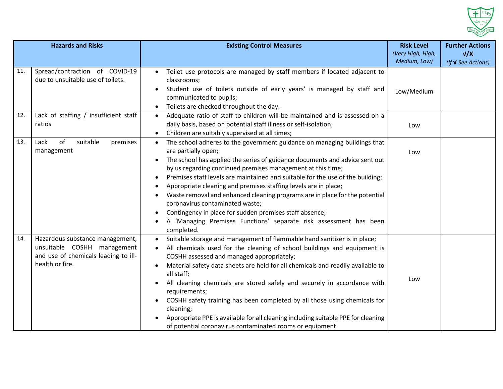

| <b>Hazards and Risks</b> |                                                                                                                           | <b>Existing Control Measures</b>                                                                                                                                                                                                                                                                                                                                                                                                                                                                                                                                                                                                                                                | <b>Risk Level</b>                 | <b>Further Actions</b>           |
|--------------------------|---------------------------------------------------------------------------------------------------------------------------|---------------------------------------------------------------------------------------------------------------------------------------------------------------------------------------------------------------------------------------------------------------------------------------------------------------------------------------------------------------------------------------------------------------------------------------------------------------------------------------------------------------------------------------------------------------------------------------------------------------------------------------------------------------------------------|-----------------------------------|----------------------------------|
|                          |                                                                                                                           |                                                                                                                                                                                                                                                                                                                                                                                                                                                                                                                                                                                                                                                                                 | (Very High, High,<br>Medium, Low) | V/X<br>(If <b>V</b> See Actions) |
| 11.                      | Spread/contraction of COVID-19<br>due to unsuitable use of toilets.                                                       | Toilet use protocols are managed by staff members if located adjacent to<br>$\bullet$<br>classrooms;<br>Student use of toilets outside of early years' is managed by staff and<br>communicated to pupils;<br>Toilets are checked throughout the day.                                                                                                                                                                                                                                                                                                                                                                                                                            | Low/Medium                        |                                  |
| 12.                      | Lack of staffing / insufficient staff<br>ratios                                                                           | Adequate ratio of staff to children will be maintained and is assessed on a<br>$\bullet$<br>daily basis, based on potential staff illness or self-isolation;<br>Children are suitably supervised at all times;                                                                                                                                                                                                                                                                                                                                                                                                                                                                  | Low                               |                                  |
| 13.                      | of<br>suitable<br>premises<br>Lack<br>management                                                                          | The school adheres to the government guidance on managing buildings that<br>$\bullet$<br>are partially open;<br>The school has applied the series of guidance documents and advice sent out<br>by us regarding continued premises management at this time;<br>Premises staff levels are maintained and suitable for the use of the building;<br>Appropriate cleaning and premises staffing levels are in place;<br>Waste removal and enhanced cleaning programs are in place for the potential<br>coronavirus contaminated waste;<br>Contingency in place for sudden premises staff absence;<br>A 'Managing Premises Functions' separate risk assessment has been<br>completed. | Low                               |                                  |
| 14.                      | Hazardous substance management,<br>unsuitable COSHH management<br>and use of chemicals leading to ill-<br>health or fire. | Suitable storage and management of flammable hand sanitizer is in place;<br>$\bullet$<br>All chemicals used for the cleaning of school buildings and equipment is<br>COSHH assessed and managed appropriately;<br>Material safety data sheets are held for all chemicals and readily available to<br>all staff;<br>All cleaning chemicals are stored safely and securely in accordance with<br>requirements;<br>COSHH safety training has been completed by all those using chemicals for<br>cleaning;<br>Appropriate PPE is available for all cleaning including suitable PPE for cleaning<br>of potential coronavirus contaminated rooms or equipment.                        | Low                               |                                  |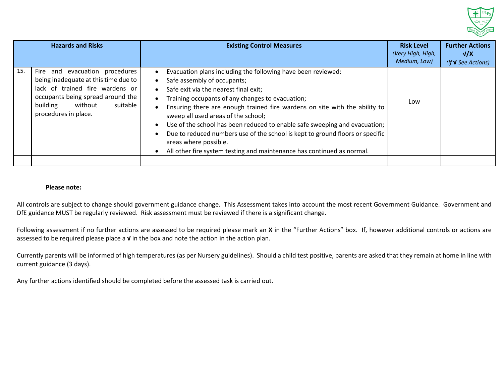

|     | <b>Hazards and Risks</b>                                                                                                                                                                                     | <b>Existing Control Measures</b>                                                                                                                                                                                                                                                                                                                                                                                                                                                                                                                                                | <b>Risk Level</b><br>(Very High, High,<br>Medium, Low) | <b>Further Actions</b><br>V/X<br>(If <b>V</b> See Actions) |
|-----|--------------------------------------------------------------------------------------------------------------------------------------------------------------------------------------------------------------|---------------------------------------------------------------------------------------------------------------------------------------------------------------------------------------------------------------------------------------------------------------------------------------------------------------------------------------------------------------------------------------------------------------------------------------------------------------------------------------------------------------------------------------------------------------------------------|--------------------------------------------------------|------------------------------------------------------------|
| 15. | evacuation procedures<br>Fire and<br>being inadequate at this time due to<br>lack of trained fire wardens or<br>occupants being spread around the<br>suitable<br>building<br>without<br>procedures in place. | Evacuation plans including the following have been reviewed:<br>Safe assembly of occupants;<br>Safe exit via the nearest final exit;<br>Training occupants of any changes to evacuation;<br>Ensuring there are enough trained fire wardens on site with the ability to<br>sweep all used areas of the school;<br>Use of the school has been reduced to enable safe sweeping and evacuation;<br>Due to reduced numbers use of the school is kept to ground floors or specific<br>areas where possible.<br>All other fire system testing and maintenance has continued as normal. | Low                                                    |                                                            |
|     |                                                                                                                                                                                                              |                                                                                                                                                                                                                                                                                                                                                                                                                                                                                                                                                                                 |                                                        |                                                            |

#### **Please note:**

All controls are subject to change should government guidance change. This Assessment takes into account the most recent Government Guidance. Government and DfE guidance MUST be regularly reviewed. Risk assessment must be reviewed if there is a significant change.

Following assessment if no further actions are assessed to be required please mark an **X** in the "Further Actions" box. If, however additional controls or actions are assessed to be required please place a **√** in the box and note the action in the action plan.

Currently parents will be informed of high temperatures (as per Nursery guidelines). Should a child test positive, parents are asked that they remain at home in line with current guidance (3 days).

Any further actions identified should be completed before the assessed task is carried out.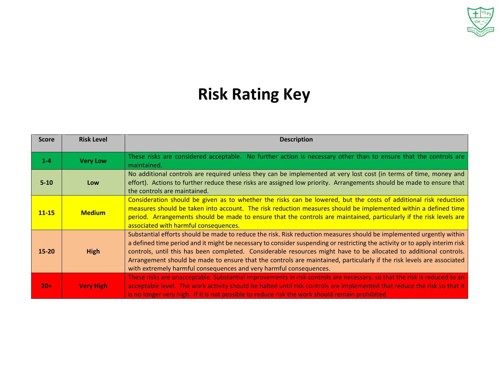

# **Risk Rating Key**

| <b>Score</b> | <b>Risk Level</b> | <b>Description</b>                                                                                                                                                                                                                                                                                                                                                                                                                                                                                                                                                       |
|--------------|-------------------|--------------------------------------------------------------------------------------------------------------------------------------------------------------------------------------------------------------------------------------------------------------------------------------------------------------------------------------------------------------------------------------------------------------------------------------------------------------------------------------------------------------------------------------------------------------------------|
| $1 - 4$      | <b>Very Low</b>   | These risks are considered acceptable. No further action is necessary other than to ensure that the controls are<br>maintained.                                                                                                                                                                                                                                                                                                                                                                                                                                          |
| $5 - 10$     | Low               | No additional controls are required unless they can be implemented at very lost cost (in terms of time, money and<br>effort). Actions to further reduce these risks are assigned low priority. Arrangements should be made to ensure that<br>the controls are maintained.                                                                                                                                                                                                                                                                                                |
| $11 - 15$    | <b>Medium</b>     | Consideration should be given as to whether the risks can be lowered, but the costs of additional risk reduction<br>measures should be taken into account. The risk reduction measures should be implemented within a defined time<br>period. Arrangements should be made to ensure that the controls are maintained, particularly if the risk levels are<br>associated with harmful consequences.                                                                                                                                                                       |
| $15 - 20$    | <b>High</b>       | Substantial efforts should be made to reduce the risk. Risk reduction measures should be implemented urgently within<br>a defined time period and it might be necessary to consider suspending or restricting the activity or to apply interim risk<br>controls, until this has been completed. Considerable resources might have to be allocated to additional controls.<br>Arrangement should be made to ensure that the controls are maintained, particularly if the risk levels are associated<br>with extremely harmful consequences and very harmful consequences. |
| $20+$        | <b>Very High</b>  | These risks are unacceptable. Substantial improvements in risk controls are necessary, so that the risk is reduced to an<br>acceptable level. The work activity should be halted until risk controls are implemented that reduce the risk so that it<br>is no longer very high. If it is not possible to reduce risk the work should remain prohibited.                                                                                                                                                                                                                  |